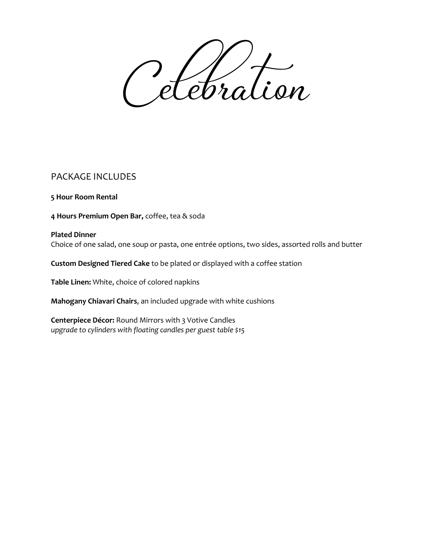Celebration

# PACKAGE INCLUDES

**5 Hour Room Rental**

**4 Hours Premium Open Bar,** coffee, tea & soda

## **Plated Dinner** Choice of one salad, one soup or pasta, one entrée options, two sides, assorted rolls and butter

**Custom Designed Tiered Cake** to be plated or displayed with a coffee station

**Table Linen:** White, choice of colored napkins

**Mahogany Chiavari Chairs**, an included upgrade with white cushions

**Centerpiece Décor:** Round Mirrors with 3 Votive Candles *upgrade to cylinders with floating candles per guest table \$15*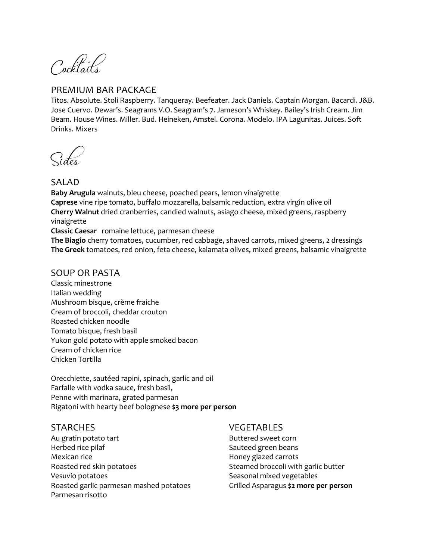Cocktails

# PREMIUM BAR PACKAGE

Titos. Absolute. Stoli Raspberry. Tanqueray. Beefeater. Jack Daniels. Captain Morgan. Bacardi. J&B. Jose Cuervo. Dewar's. Seagrams V.O. Seagram's 7. Jameson's Whiskey. Bailey's Irish Cream. Jim Beam. House Wines. Miller. Bud. Heineken, Amstel. Corona. Modelo. IPA Lagunitas. Juices. Soft Drinks. Mixers

Sides

# SALAD

**Baby Arugula** walnuts, bleu cheese, poached pears, lemon vinaigrette **Caprese** vine ripe tomato, buffalo mozzarella, balsamic reduction, extra virgin olive oil **Cherry Walnut** dried cranberries, candied walnuts, asiago cheese, mixed greens, raspberry vinaigrette

**Classic Caesar** romaine lettuce, parmesan cheese

**The Biagio** cherry tomatoes, cucumber, red cabbage, shaved carrots, mixed greens, 2 dressings **The Greek** tomatoes, red onion, feta cheese, kalamata olives, mixed greens, balsamic vinaigrette

## SOUP OR PASTA

Classic minestrone Italian wedding Mushroom bisque, crème fraiche Cream of broccoli, cheddar crouton Roasted chicken noodle Tomato bisque, fresh basil Yukon gold potato with apple smoked bacon Cream of chicken rice Chicken Tortilla

Orecchiette, sautéed rapini, spinach, garlic and oil Farfalle with vodka sauce, fresh basil, Penne with marinara, grated parmesan Rigatoni with hearty beef bolognese **\$3 more per person**

# **STARCHES**

Au gratin potato tart Herbed rice pilaf Mexican rice Roasted red skin potatoes Vesuvio potatoes Roasted garlic parmesan mashed potatoes Parmesan risotto

### VEGETABLES

Buttered sweet corn Sauteed green beans Honey glazed carrots Steamed broccoli with garlic butter Seasonal mixed vegetables Grilled Asparagus **\$2 more per person**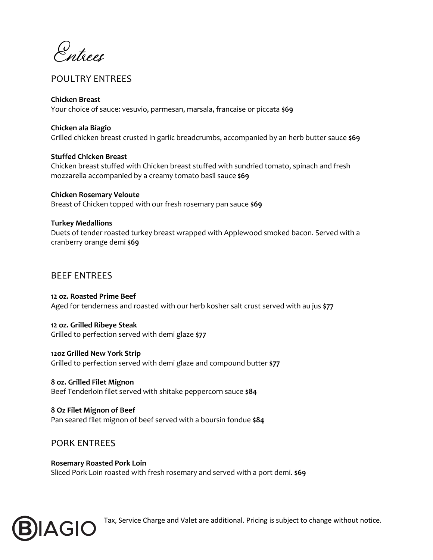Entrees

# POULTRY ENTREES

### **Chicken Breast**

Your choice of sauce: vesuvio, parmesan, marsala, francaise or piccata **\$69**

### **Chicken ala Biagio**

Grilled chicken breast crusted in garlic breadcrumbs, accompanied by an herb butter sauce **\$69**

### **Stuffed Chicken Breast**

Chicken breast stuffed with Chicken breast stuffed with sundried tomato, spinach and fresh mozzarella accompanied by a creamy tomato basil sauce **\$69**

### **Chicken Rosemary Veloute** Breast of Chicken topped with our fresh rosemary pan sauce **\$69**

### **Turkey Medallions**

Duets of tender roasted turkey breast wrapped with Applewood smoked bacon. Served with a cranberry orange demi **\$69**

# BEEF ENTREES

**12 oz. Roasted Prime Beef** Aged for tenderness and roasted with our herb kosher salt crust served with au jus **\$77**

**12 oz. Grilled Ribeye Steak** Grilled to perfection served with demi glaze **\$77**

**12oz Grilled New York Strip** Grilled to perfection served with demi glaze and compound butter **\$77**

**8 oz. Grilled Filet Mignon** Beef Tenderloin filet served with shitake peppercorn sauce **\$84**

**8 Oz Filet Mignon of Beef** Pan seared filet mignon of beef served with a boursin fondue **\$84**

# PORK ENTREES

**Rosemary Roasted Pork Loin** Sliced Pork Loin roasted with fresh rosemary and served with a port demi. **\$69**



**B**  $\mathbf{AGIO}$  Tax, Service Charge and Valet are additional. Pricing is subject to change without notice.